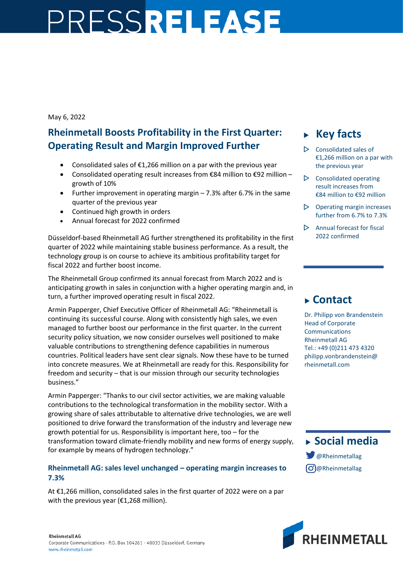# PRESSRELEASE

### May 6, 2022

## **Rheinmetall Boosts Profitability in the First Quarter: Operating Result and Margin Improved Further**

- Consolidated sales of €1,266 million on a par with the previous year
- Consolidated operating result increases from  $\epsilon$ 84 million to  $\epsilon$ 92 million growth of 10%
- Further improvement in operating margin 7.3% after 6.7% in the same quarter of the previous year
- Continued high growth in orders
- Annual forecast for 2022 confirmed

Düsseldorf-based Rheinmetall AG further strengthened its profitability in the first quarter of 2022 while maintaining stable business performance. As a result, the technology group is on course to achieve its ambitious profitability target for fiscal 2022 and further boost income.

The Rheinmetall Group confirmed its annual forecast from March 2022 and is anticipating growth in sales in conjunction with a higher operating margin and, in turn, a further improved operating result in fiscal 2022.

Armin Papperger, Chief Executive Officer of Rheinmetall AG: "Rheinmetall is continuing its successful course. Along with consistently high sales, we even managed to further boost our performance in the first quarter. In the current security policy situation, we now consider ourselves well positioned to make valuable contributions to strengthening defence capabilities in numerous countries. Political leaders have sent clear signals. Now these have to be turned into concrete measures. We at Rheinmetall are ready for this. Responsibility for freedom and security – that is our mission through our security technologies business."

Armin Papperger: "Thanks to our civil sector activities, we are making valuable contributions to the technological transformation in the mobility sector. With a growing share of sales attributable to alternative drive technologies, we are well positioned to drive forward the transformation of the industry and leverage new growth potential for us. Responsibility is important here, too – for the transformation toward climate-friendly mobility and new forms of energy supply, for example by means of hydrogen technology."

## **Rheinmetall AG: sales level unchanged – operating margin increases to 7.3%**

At €1,266 million, consolidated sales in the first quarter of 2022 were on a par with the previous year (€1,268 million).

# **Key facts**

- $\triangleright$  Consolidated sales of €1,266 million on a par with the previous year
- $\triangleright$  Consolidated operating result increases from €84 million to €92 million
- $\triangleright$  Operating margin increases further from 6.7% to 7.3%
- $\triangleright$  Annual forecast for fiscal 2022 confirmed

# **Contact**

Dr. Philipp von Brandenstein Head of Corporate Communications Rheinmetall AG Tel.: +49 (0)211 473 4320 philipp.vonbrandenstein@ rheinmetall.com



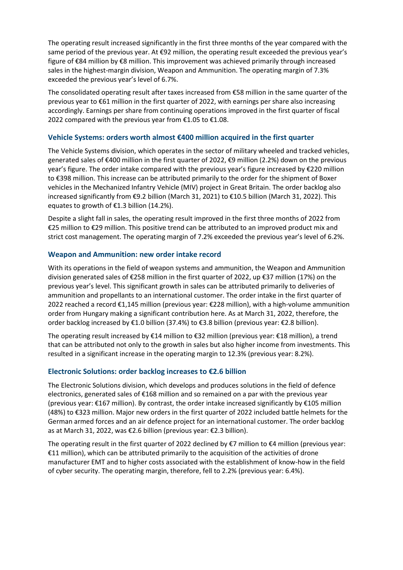The operating result increased significantly in the first three months of the year compared with the same period of the previous year. At €92 million, the operating result exceeded the previous year's figure of €84 million by €8 million. This improvement was achieved primarily through increased sales in the highest-margin division, Weapon and Ammunition. The operating margin of 7.3% exceeded the previous year's level of 6.7%.

The consolidated operating result after taxes increased from €58 million in the same quarter of the previous year to €61 million in the first quarter of 2022, with earnings per share also increasing accordingly. Earnings per share from continuing operations improved in the first quarter of fiscal 2022 compared with the previous year from  $£1.05$  to  $£1.08$ .

#### **Vehicle Systems: orders worth almost €400 million acquired in the first quarter**

The Vehicle Systems division, which operates in the sector of military wheeled and tracked vehicles, generated sales of €400 million in the first quarter of 2022, €9 million (2.2%) down on the previous year's figure. The order intake compared with the previous year's figure increased by €220 million to €398 million. This increase can be attributed primarily to the order for the shipment of Boxer vehicles in the Mechanized Infantry Vehicle (MIV) project in Great Britain. The order backlog also increased significantly from €9.2 billion (March 31, 2021) to €10.5 billion (March 31, 2022). This equates to growth of €1.3 billion (14.2%).

Despite a slight fall in sales, the operating result improved in the first three months of 2022 from €25 million to €29 million. This positive trend can be attributed to an improved product mix and strict cost management. The operating margin of 7.2% exceeded the previous year's level of 6.2%.

#### **Weapon and Ammunition: new order intake record**

With its operations in the field of weapon systems and ammunition, the Weapon and Ammunition division generated sales of €258 million in the first quarter of 2022, up €37 million (17%) on the previous year's level. This significant growth in sales can be attributed primarily to deliveries of ammunition and propellants to an international customer. The order intake in the first quarter of 2022 reached a record €1,145 million (previous year: €228 million), with a high-volume ammunition order from Hungary making a significant contribution here. As at March 31, 2022, therefore, the order backlog increased by €1.0 billion (37.4%) to €3.8 billion (previous year: €2.8 billion).

The operating result increased by €14 million to €32 million (previous year: €18 million), a trend that can be attributed not only to the growth in sales but also higher income from investments. This resulted in a significant increase in the operating margin to 12.3% (previous year: 8.2%).

#### **Electronic Solutions: order backlog increases to €2.6 billion**

The Electronic Solutions division, which develops and produces solutions in the field of defence electronics, generated sales of €168 million and so remained on a par with the previous year (previous year: €167 million). By contrast, the order intake increased significantly by €105 million (48%) to €323 million. Major new orders in the first quarter of 2022 included battle helmets for the German armed forces and an air defence project for an international customer. The order backlog as at March 31, 2022, was €2.6 billion (previous year: €2.3 billion).

The operating result in the first quarter of 2022 declined by  $\epsilon$ 7 million to  $\epsilon$ 4 million (previous year: €11 million), which can be attributed primarily to the acquisition of the activities of drone manufacturer EMT and to higher costs associated with the establishment of know-how in the field of cyber security. The operating margin, therefore, fell to 2.2% (previous year: 6.4%).